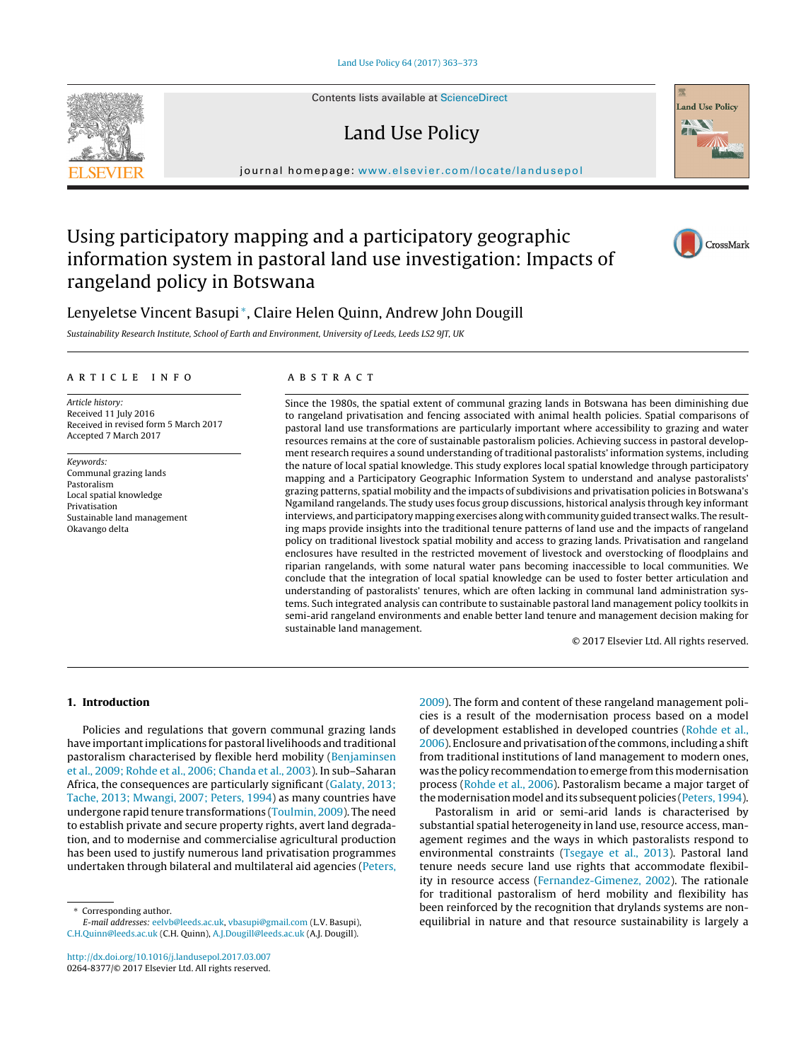Contents lists available at [ScienceDirect](http://www.sciencedirect.com/science/journal/02648377)

# Land Use Policy

journal homepage: [www.elsevier.com/locate/landusepol](http://www.elsevier.com/locate/landusepol)

## Using participatory mapping and a participatory geographic information system in pastoral land use investigation: Impacts of rangeland policy in Botswana

### Lenyeletse Vincent Basupi<sup>∗</sup>, Claire Helen Quinn, Andrew John Dougill

Sustainability Research Institute, School of Earth and Environment, University of Leeds, Leeds LS2 9JT, UK

#### a r t i c l e i n f o

Article history: Received 11 July 2016 Received in revised form 5 March 2017 Accepted 7 March 2017

Keywords: Communal grazing lands Pastoralism Local spatial knowledge Privatisation Sustainable land management Okavango delta

#### A B S T R A C T

Since the 1980s, the spatial extent of communal grazing lands in Botswana has been diminishing due to rangeland privatisation and fencing associated with animal health policies. Spatial comparisons of pastoral land use transformations are particularly important where accessibility to grazing and water resources remains at the core of sustainable pastoralism policies. Achieving success in pastoral development research requires a sound understanding of traditional pastoralists' information systems, including the nature of local spatial knowledge. This study explores local spatial knowledge through participatory mapping and a Participatory Geographic Information System to understand and analyse pastoralists' grazing patterns, spatial mobility and the impacts of subdivisions and privatisation policies in Botswana's Ngamiland rangelands. The study uses focus group discussions, historical analysis through key informant interviews, and participatory mapping exercises along with community guided transect walks. The resulting maps provide insights into the traditional tenure patterns of land use and the impacts of rangeland policy on traditional livestock spatial mobility and access to grazing lands. Privatisation and rangeland enclosures have resulted in the restricted movement of livestock and overstocking of floodplains and riparian rangelands, with some natural water pans becoming inaccessible to local communities. We conclude that the integration of local spatial knowledge can be used to foster better articulation and understanding of pastoralists' tenures, which are often lacking in communal land administration systems. Such integrated analysis can contribute to sustainable pastoral land management policy toolkits in semi-arid rangeland environments and enable better land tenure and management decision making for sustainable land management.

© 2017 Elsevier Ltd. All rights reserved.

#### **1. Introduction**

Policies and regulations that govern communal grazing lands have importantimplications for pastoral livelihoods and traditional pastoralism characterised by flexible herd mobility ([Benjaminsen](#page--1-0) et [al.,](#page--1-0) [2009;](#page--1-0) [Rohde](#page--1-0) et [al.,](#page--1-0) [2006;](#page--1-0) [Chanda](#page--1-0) et [al.,](#page--1-0) [2003\).](#page--1-0) In sub–Saharan Africa, the consequences are particularly significant ([Galaty,](#page--1-0) [2013;](#page--1-0) [Tache,](#page--1-0) [2013;](#page--1-0) [Mwangi,](#page--1-0) [2007;](#page--1-0) [Peters,](#page--1-0) [1994\)](#page--1-0) as many countries have undergone rapid tenure transformations [\(Toulmin,](#page--1-0) [2009\).](#page--1-0) The need to establish private and secure property rights, avert land degradation, and to modernise and commercialise agricultural production has been used to justify numerous land privatisation programmes undertaken through bilateral and multilateral aid agencies ([Peters,](#page--1-0)

Corresponding author.

E-mail addresses: [eelvb@leeds.ac.uk,](mailto:eelvb@leeds.ac.uk) [vbasupi@gmail.com](mailto:vbasupi@gmail.com) (L.V. Basupi), [C.H.Quinn@leeds.ac.uk](mailto:C.H.Quinn@leeds.ac.uk) (C.H. Quinn), [A.J.Dougill@leeds.ac.uk](mailto:A.J.Dougill@leeds.ac.uk) (A.J. Dougill).

[http://dx.doi.org/10.1016/j.landusepol.2017.03.007](dx.doi.org/10.1016/j.landusepol.2017.03.007) 0264-8377/© 2017 Elsevier Ltd. All rights reserved. [2009\).](#page--1-0) The form and content of these rangeland management policies is a result of the modernisation process based on a model of development established in developed countries ([Rohde](#page--1-0) et [al.,](#page--1-0) [2006\).](#page--1-0) Enclosure and privatisation of the commons, including a shift from traditional institutions of land management to modern ones, was the policy recommendation to emerge from this modernisation process [\(Rohde](#page--1-0) et [al.,](#page--1-0) [2006\).](#page--1-0) Pastoralism became a major target of the modernisation model and its subsequent policies ([Peters,](#page--1-0) [1994\).](#page--1-0)

Pastoralism in arid or semi-arid lands is characterised by substantial spatial heterogeneity in land use, resource access, management regimes and the ways in which pastoralists respond to environmental constraints ([Tsegaye](#page--1-0) et [al.,](#page--1-0) [2013\).](#page--1-0) Pastoral land tenure needs secure land use rights that accommodate flexibility in resource access ([Fernandez-Gimenez,](#page--1-0) [2002\).](#page--1-0) The rationale for traditional pastoralism of herd mobility and flexibility has been reinforced by the recognition that drylands systems are nonequilibrial in nature and that resource sustainability is largely a





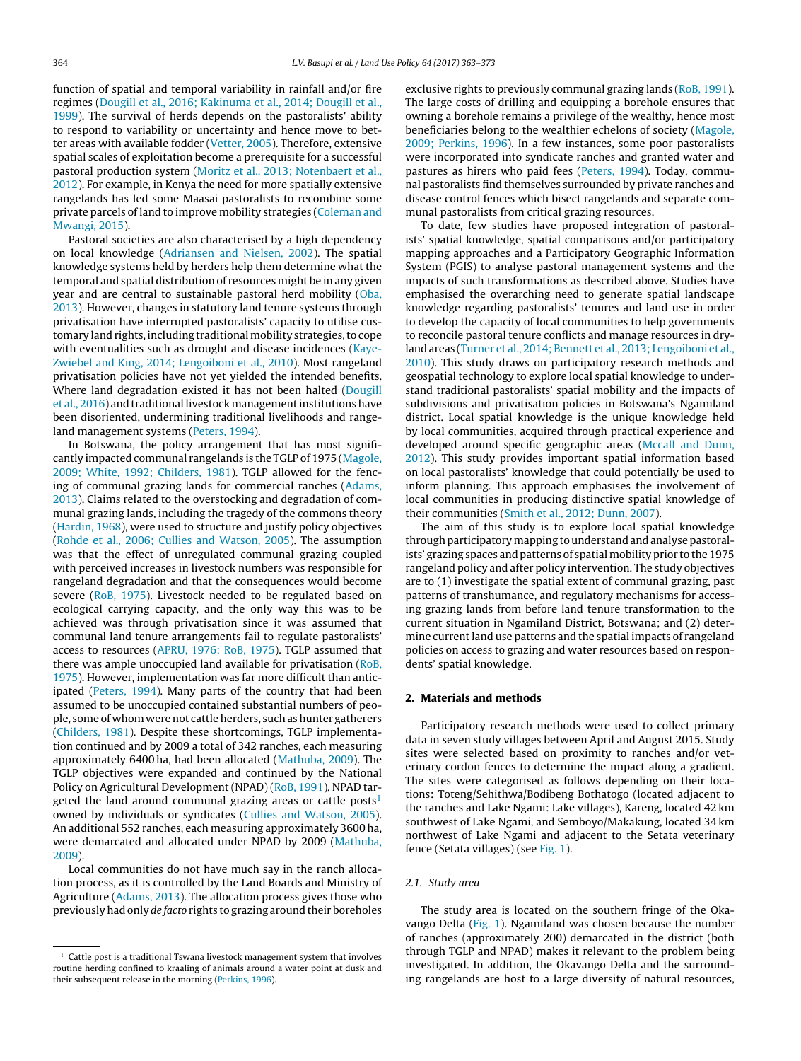function of spatial and temporal variability in rainfall and/or fire regimes ([Dougill](#page--1-0) et [al.,](#page--1-0) [2016;](#page--1-0) [Kakinuma](#page--1-0) et [al.,](#page--1-0) [2014;](#page--1-0) [Dougill](#page--1-0) et [al.,](#page--1-0) [1999\).](#page--1-0) The survival of herds depends on the pastoralists' ability to respond to variability or uncertainty and hence move to better areas with available fodder [\(Vetter,](#page--1-0) [2005\).](#page--1-0) Therefore, extensive spatial scales of exploitation become a prerequisite for a successful pastoral production system [\(Moritz](#page--1-0) et [al.,](#page--1-0) [2013;](#page--1-0) [Notenbaert](#page--1-0) et [al.,](#page--1-0) [2012\).](#page--1-0) For example, in Kenya the need for more spatially extensive rangelands has led some Maasai pastoralists to recombine some private parcels of land to improve mobility strategies [\(Coleman](#page--1-0) [and](#page--1-0) [Mwangi,](#page--1-0) [2015\).](#page--1-0)

Pastoral societies are also characterised by a high dependency on local knowledge ([Adriansen](#page--1-0) [and](#page--1-0) [Nielsen,](#page--1-0) [2002\).](#page--1-0) The spatial knowledge systems held by herders help them determine what the temporal and spatial distribution of resources might be in any given year and are central to sustainable pastoral herd mobility [\(Oba,](#page--1-0) [2013\).](#page--1-0) However, changes in statutory land tenure systems through privatisation have interrupted pastoralists' capacity to utilise customary land rights, including traditional mobility strategies, to cope with eventualities such as drought and disease incidences [\(Kaye-](#page--1-0)Zwiebel [and](#page--1-0) [King,](#page--1-0) [2014;](#page--1-0) [Lengoiboni](#page--1-0) et [al.,](#page--1-0) [2010\).](#page--1-0) Most rangeland privatisation policies have not yet yielded the intended benefits. Where land degradation existed it has not been halted ([Dougill](#page--1-0) et [al.,](#page--1-0) [2016\)](#page--1-0) and traditional livestock management institutions have been disoriented, undermining traditional livelihoods and rangeland management systems [\(Peters,](#page--1-0) [1994\).](#page--1-0)

In Botswana, the policy arrangement that has most significantly impacted communal rangelands is the TGLP of 1975 [\(Magole,](#page--1-0) [2009;](#page--1-0) [White,](#page--1-0) [1992;](#page--1-0) [Childers,](#page--1-0) [1981\).](#page--1-0) TGLP allowed for the fencing of communal grazing lands for commercial ranches [\(Adams,](#page--1-0) [2013\).](#page--1-0) Claims related to the overstocking and degradation of communal grazing lands, including the tragedy of the commons theory ([Hardin,](#page--1-0) [1968\),](#page--1-0) were used to structure and justify policy objectives ([Rohde](#page--1-0) et [al.,](#page--1-0) [2006;](#page--1-0) [Cullies](#page--1-0) [and](#page--1-0) [Watson,](#page--1-0) [2005\).](#page--1-0) The assumption was that the effect of unregulated communal grazing coupled with perceived increases in livestock numbers was responsible for rangeland degradation and that the consequences would become severe [\(RoB,](#page--1-0) [1975\).](#page--1-0) Livestock needed to be regulated based on ecological carrying capacity, and the only way this was to be achieved was through privatisation since it was assumed that communal land tenure arrangements fail to regulate pastoralists' access to resources ([APRU,](#page--1-0) [1976;](#page--1-0) [RoB,](#page--1-0) [1975\).](#page--1-0) TGLP assumed that there was ample unoccupied land available for privatisation ([RoB,](#page--1-0) [1975\).](#page--1-0) However, implementation was far more difficult than anticipated ([Peters,](#page--1-0) [1994\).](#page--1-0) Many parts of the country that had been assumed to be unoccupied contained substantial numbers of people, some of whom were not cattle herders, such as hunter gatherers ([Childers,](#page--1-0) [1981\).](#page--1-0) Despite these shortcomings, TGLP implementation continued and by 2009 a total of 342 ranches, each measuring approximately 6400 ha, had been allocated ([Mathuba,](#page--1-0) [2009\).](#page--1-0) The TGLP objectives were expanded and continued by the National Policy on Agricultural Development (NPAD) [\(RoB,](#page--1-0) [1991\).](#page--1-0) NPAD targeted the land around communal grazing areas or cattle posts $1$ owned by individuals or syndicates ([Cullies](#page--1-0) [and](#page--1-0) [Watson,](#page--1-0) [2005\).](#page--1-0) An additional 552 ranches, each measuring approximately 3600 ha, were demarcated and allocated under NPAD by 2009 [\(Mathuba,](#page--1-0) [2009\).](#page--1-0)

Local communities do not have much say in the ranch allocation process, as it is controlled by the Land Boards and Ministry of Agriculture [\(Adams,](#page--1-0) [2013\).](#page--1-0) The allocation process gives those who previouslyhad only de facto rights to grazing around their boreholes

exclusive rights to previously communal grazing lands [\(RoB,](#page--1-0) [1991\).](#page--1-0) The large costs of drilling and equipping a borehole ensures that owning a borehole remains a privilege of the wealthy, hence most beneficiaries belong to the wealthier echelons of society ([Magole,](#page--1-0) [2009;](#page--1-0) [Perkins,](#page--1-0) [1996\).](#page--1-0) In a few instances, some poor pastoralists were incorporated into syndicate ranches and granted water and pastures as hirers who paid fees ([Peters,](#page--1-0) [1994\).](#page--1-0) Today, communal pastoralists find themselves surrounded by private ranches and disease control fences which bisect rangelands and separate communal pastoralists from critical grazing resources.

To date, few studies have proposed integration of pastoralists' spatial knowledge, spatial comparisons and/or participatory mapping approaches and a Participatory Geographic Information System (PGIS) to analyse pastoral management systems and the impacts of such transformations as described above. Studies have emphasised the overarching need to generate spatial landscape knowledge regarding pastoralists' tenures and land use in order to develop the capacity of local communities to help governments to reconcile pastoral tenure conflicts and manage resources in dryland areas ([Turner](#page--1-0) et [al.,](#page--1-0) [2014;](#page--1-0) [Bennett](#page--1-0) et [al.,](#page--1-0) [2013;](#page--1-0) [Lengoiboni](#page--1-0) et [al.,](#page--1-0) [2010\).](#page--1-0) This study draws on participatory research methods and geospatial technology to explore local spatial knowledge to understand traditional pastoralists' spatial mobility and the impacts of subdivisions and privatisation policies in Botswana's Ngamiland district. Local spatial knowledge is the unique knowledge held by local communities, acquired through practical experience and developed around specific geographic areas ([Mccall](#page--1-0) [and](#page--1-0) [Dunn,](#page--1-0) [2012\).](#page--1-0) This study provides important spatial information based on local pastoralists' knowledge that could potentially be used to inform planning. This approach emphasises the involvement of local communities in producing distinctive spatial knowledge of their communities [\(Smith](#page--1-0) et [al.,](#page--1-0) [2012;](#page--1-0) [Dunn,](#page--1-0) [2007\).](#page--1-0)

The aim of this study is to explore local spatial knowledge through participatory mapping to understand and analyse pastoralists' grazing spaces and patterns of spatial mobility prior to the 1975 rangeland policy and after policy intervention. The study objectives are to (1) investigate the spatial extent of communal grazing, past patterns of transhumance, and regulatory mechanisms for accessing grazing lands from before land tenure transformation to the current situation in Ngamiland District, Botswana; and (2) determine current land use patterns and the spatial impacts of rangeland policies on access to grazing and water resources based on respondents' spatial knowledge.

#### **2. Materials and methods**

Participatory research methods were used to collect primary data in seven study villages between April and August 2015. Study sites were selected based on proximity to ranches and/or veterinary cordon fences to determine the impact along a gradient. The sites were categorised as follows depending on their locations: Toteng/Sehithwa/Bodibeng Bothatogo (located adjacent to the ranches and Lake Ngami: Lake villages), Kareng, located 42 km southwest of Lake Ngami, and Semboyo/Makakung, located 34 km northwest of Lake Ngami and adjacent to the Setata veterinary fence (Setata villages) (see [Fig.](#page--1-0) 1).

#### 2.1. Study area

The study area is located on the southern fringe of the Oka-vango Delta [\(Fig.](#page--1-0) 1). Ngamiland was chosen because the number of ranches (approximately 200) demarcated in the district (both through TGLP and NPAD) makes it relevant to the problem being investigated. In addition, the Okavango Delta and the surrounding rangelands are host to a large diversity of natural resources,

 $1$  Cattle post is a traditional Tswana livestock management system that involves routine herding confined to kraaling of animals around a water point at dusk and their subsequent release in the morning ([Perkins,](#page--1-0) [1996\).](#page--1-0)